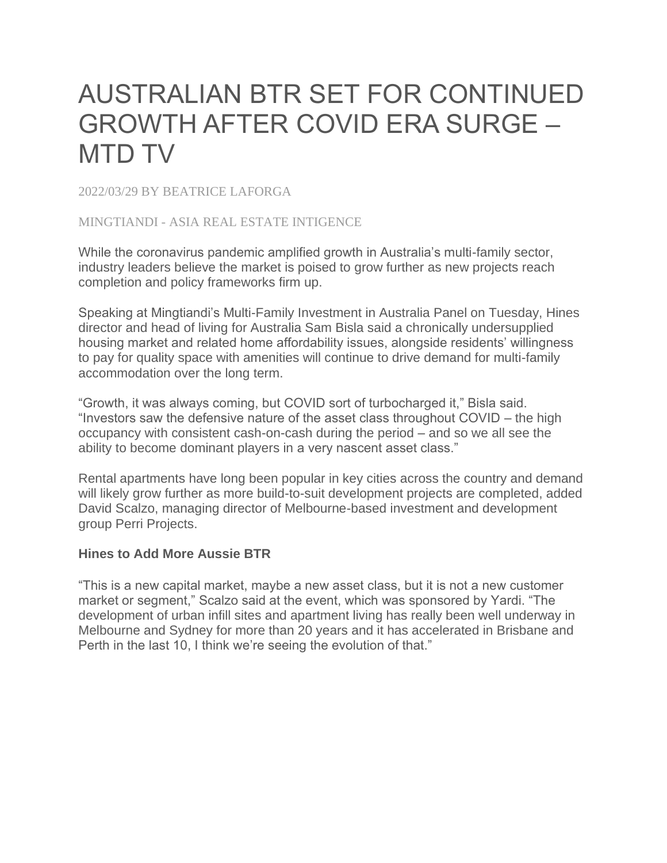## AUSTRALIAN BTR SET FOR CONTINUED GROWTH AFTER COVID ERA SURGE – MTD TV

2022/03/29 BY BEATRICE LAFORGA

## MINGTIANDI - ASIA REAL ESTATE INTIGENCE

While the coronavirus pandemic amplified growth in Australia's multi-family sector, industry leaders believe the market is poised to grow further as new projects reach completion and policy frameworks firm up.

Speaking at Mingtiandi's Multi-Family Investment in Australia Panel on Tuesday, Hines director and head of living for Australia Sam Bisla said a chronically undersupplied housing market and related home affordability issues, alongside residents' willingness to pay for quality space with amenities will continue to drive demand for multi-family accommodation over the long term.

"Growth, it was always coming, but COVID sort of turbocharged it," Bisla said. "Investors saw the defensive nature of the asset class throughout COVID – the high occupancy with consistent cash-on-cash during the period – and so we all see the ability to become dominant players in a very nascent asset class."

Rental apartments have long been popular in key cities across the country and demand will likely grow further as more build-to-suit development projects are completed, added David Scalzo, managing director of Melbourne-based investment and development group Perri Projects.

## **Hines to Add More Aussie BTR**

"This is a new capital market, maybe a new asset class, but it is not a new customer market or segment," Scalzo said at the event, which was sponsored by Yardi. "The development of urban infill sites and apartment living has really been well underway in Melbourne and Sydney for more than 20 years and it has accelerated in Brisbane and Perth in the last 10, I think we're seeing the evolution of that."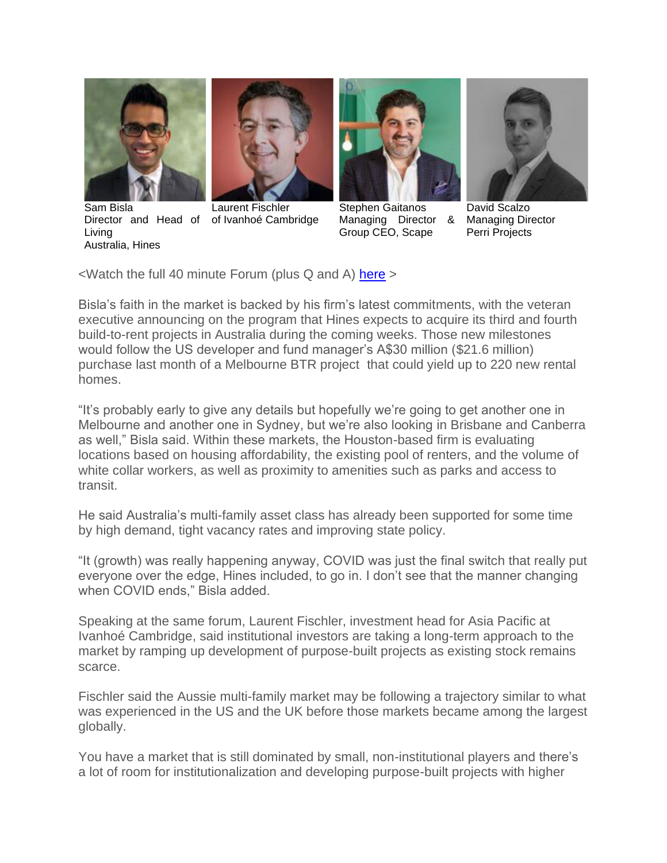

Sam Bisla Living Australia, Hines



Director and Head of of Ivanhoé Cambridge Laurent Fischler



Stephen Gaitanos Managing Director & Group CEO, Scape



David Scalzo Managing Director Perri Projects

 $\leq$ Watch the full 40 minute Forum (plus Q and A) [here](https://www.mingtiandi.com/real-estate/events/australian-btr-set-for-continued-growth-after-covid-era-surge-mtd-tv/)  $>$ 

Bisla's faith in the market is backed by his firm's latest commitments, with the veteran executive announcing on the program that Hines expects to acquire its third and fourth build-to-rent projects in Australia during the coming weeks. Those new milestones would follow the US developer and fund manager's A\$30 million (\$21.6 million) purchase last month of a Melbourne BTR project that could yield up to 220 new rental homes.

"It's probably early to give any details but hopefully we're going to get another one in Melbourne and another one in Sydney, but we're also looking in Brisbane and Canberra as well," Bisla said. Within these markets, the Houston-based firm is evaluating locations based on housing affordability, the existing pool of renters, and the volume of white collar workers, as well as proximity to amenities such as parks and access to transit.

He said Australia's multi-family asset class has already been supported for some time by high demand, tight vacancy rates and improving state policy.

"It (growth) was really happening anyway, COVID was just the final switch that really put everyone over the edge, Hines included, to go in. I don't see that the manner changing when COVID ends," Bisla added.

Speaking at the same forum, Laurent Fischler, investment head for Asia Pacific at Ivanhoé Cambridge, said institutional investors are taking a long-term approach to the market by ramping up development of purpose-built projects as existing stock remains scarce.

Fischler said the Aussie multi-family market may be following a trajectory similar to what was experienced in the US and the UK before those markets became among the largest globally.

You have a market that is still dominated by small, non-institutional players and there's a lot of room for institutionalization and developing purpose-built projects with higher